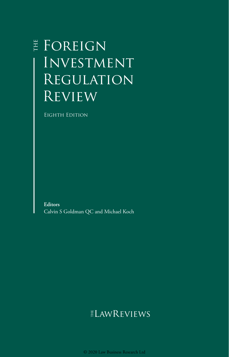## **E** FOREIGN Investment Regulation **REVIEW**

Eighth Edition

**Editors** Calvin S Goldman QC and Michael Koch

## **ELAWREVIEWS**

© 2020 Law Business Research Ltd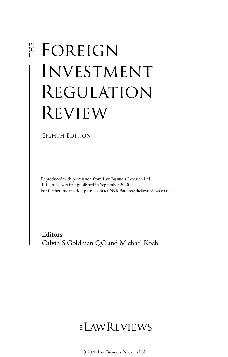# E FOREIGN Investment Regulation Review

Eighth Edition

Reproduced with permission from Law Business Research Ltd This article was first published in September 2020 For further information please contact Nick.Barette@thelawreviews.co.uk

**Editors** Calvin S Goldman QC and Michael Koch

## $ELMR$  EVIEWS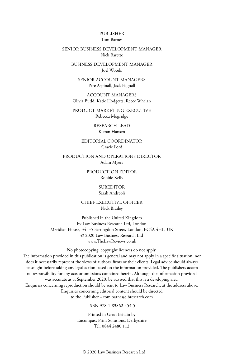#### PUBLISHER Tom Barnes

#### SENIOR BUSINESS DEVELOPMENT MANAGER Nick Barette

BUSINESS DEVELOPMENT MANAGER Joel Woods

SENIOR ACCOUNT MANAGERS Pere Aspinall, Jack Bagnall

ACCOUNT MANAGERS Olivia Budd, Katie Hodgetts, Reece Whelan

PRODUCT MARKETING EXECUTIVE Rebecca Mogridge

> RESEARCH LEAD Kieran Hansen

EDITORIAL COORDINATOR Gracie Ford

PRODUCTION AND OPERATIONS DIRECTOR Adam Myers

> PRODUCTION EDITOR Robbie Kelly

> > SUBEDITOR Sarah Andreoli

CHIEF EXECUTIVE OFFICER Nick Brailey

Published in the United Kingdom by Law Business Research Ltd, London Meridian House, 34–35 Farringdon Street, London, EC4A 4HL, UK © 2020 Law Business Research Ltd www.TheLawReviews.co.uk

No photocopying: copyright licences do not apply. The information provided in this publication is general and may not apply in a specific situation, nor does it necessarily represent the views of authors' firms or their clients. Legal advice should always be sought before taking any legal action based on the information provided. The publishers accept no responsibility for any acts or omissions contained herein. Although the information provided was accurate as at September 2020, be advised that this is a developing area. Enquiries concerning reproduction should be sent to Law Business Research, at the address above. Enquiries concerning editorial content should be directed to the Publisher – tom.barnes@lbresearch.com

ISBN 978-1-83862-454-5

Printed in Great Britain by Encompass Print Solutions, Derbyshire Tel: 0844 2480 112

© 2020 Law Business Research Ltd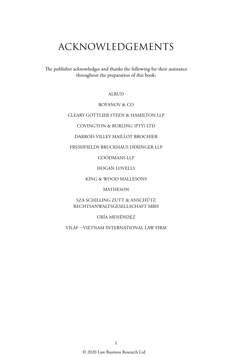## ACKNOWLEDGEMENTS

The publisher acknowledges and thanks the following for their assistance throughout the preparation of this book:

ALRUD

#### BOYANOV & CO

#### CLEARY GOTTLIEB STEEN & HAMILTON LLP

COVINGTON & BURLING (PTY) LTD

DARROIS VILLEY MAILLOT BROCHIER

#### FRESHFIELDS BRUCKHAUS DERINGER LLP

GOODMANS LLP

HOGAN LOVELLS

KING & WOOD MALLESONS

MATHESON

SZA SCHILLING ZUTT & ANSCHÜTZ RECHTSANWALTSGESELLSCHAFT MBH

URÍA MENÉNDEZ

VILAF – VIETNAM INTERNATIONAL LAW FIRM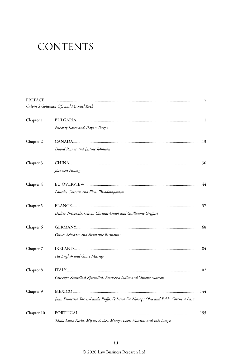# CONTENTS

|            | Calvin S Goldman QC and Michael Koch                                                |  |
|------------|-------------------------------------------------------------------------------------|--|
| Chapter 1  |                                                                                     |  |
| Chapter 2  | Nikolay Kolev and Trayan Targov                                                     |  |
|            | David Rosner and Justine Johnston                                                   |  |
| Chapter 3  |                                                                                     |  |
|            | Jianwen Huang                                                                       |  |
| Chapter 4  |                                                                                     |  |
|            | Lourdes Catrain and Eleni Theodoropoulou                                            |  |
| Chapter 5  |                                                                                     |  |
|            | Didier Théophile, Olivia Chriqui-Guiot and Guillaume Griffart                       |  |
| Chapter 6  |                                                                                     |  |
|            | Oliver Schröder and Stephanie Birmanns                                              |  |
| Chapter 7  |                                                                                     |  |
|            | Pat English and Grace Murray                                                        |  |
| Chapter 8  |                                                                                     |  |
|            | Giuseppe Scassellati-Sforzolini, Francesco Iodice and Simone Marcon                 |  |
| Chapter 9  |                                                                                     |  |
|            | Juan Francisco Torres-Landa Ruffo, Federico De Noriega Olea and Pablo Corcuera Bain |  |
| Chapter 10 |                                                                                     |  |
|            | Tânia Luísa Faria, Miguel Stokes, Margot Lopes Martins and Inês Drago               |  |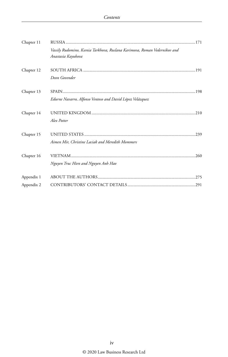| Chapter 11 |                                                                                                 |  |
|------------|-------------------------------------------------------------------------------------------------|--|
|            | Vassily Rudomino, Ksenia Tarkhova, Ruslana Karimova, Roman Vedernikov and<br>Anastasia Kayukova |  |
| Chapter 12 | Deon Govender                                                                                   |  |
| Chapter 13 |                                                                                                 |  |
|            | Edurne Navarro, Alfonso Ventoso and David López Velázquez                                       |  |
| Chapter 14 |                                                                                                 |  |
|            | Alex Potter                                                                                     |  |
| Chapter 15 |                                                                                                 |  |
|            | Aimen Mir, Christine Laciak and Meredith Mommers                                                |  |
| Chapter 16 |                                                                                                 |  |
|            | Nguyen Truc Hien and Nguyen Anh Hao                                                             |  |
| Appendix 1 |                                                                                                 |  |
| Appendix 2 |                                                                                                 |  |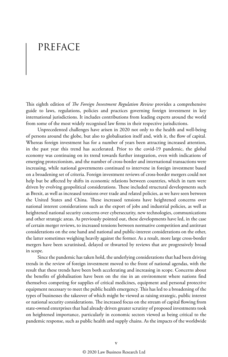## PREFACE

This eighth edition of *The Foreign Investment Regulation Review* provides a comprehensive guide to laws, regulations, policies and practices governing foreign investment in key international jurisdictions. It includes contributions from leading experts around the world from some of the most widely recognised law firms in their respective jurisdictions.

Unprecedented challenges have arisen in 2020 not only to the health and well-being of persons around the globe, but also to globalisation itself and, with it, the flow of capital. Whereas foreign investment has for a number of years been attracting increased attention, in the past year this trend has accelerated. Prior to the covid-19 pandemic, the global economy was continuing on its trend towards further integration, even with indications of emerging protectionism, and the number of cross-border and international transactions were increasing, while national governments continued to intervene in foreign investment based on a broadening set of criteria. Foreign investment reviews of cross-border mergers could not help but be affected by shifts in economic relations between countries, which in turn were driven by evolving geopolitical considerations. These included structural developments such as Brexit, as well as increased tensions over trade and related policies, as we have seen between the United States and China. These increased tensions have heightened concerns over national interest considerations such as the export of jobs and industrial policies, as well as heightened national security concerns over cybersecurity, new technologies, communications and other strategic areas. As previously pointed out, these developments have led, in the case of certain merger reviews, to increased tensions between normative competition and antitrust considerations on the one hand and national and public-interest considerations on the other, the latter sometimes weighing heavily against the former. As a result, more large cross-border mergers have been scrutinised, delayed or thwarted by reviews that are progressively broad in scope.

Since the pandemic has taken hold, the underlying considerations that had been driving trends in the review of foreign investment moved to the front of national agendas, with the result that these trends have been both accelerating and increasing in scope. Concerns about the benefits of globalisation have been on the rise in an environment where nations find themselves competing for supplies of critical medicines, equipment and personal protective equipment necessary to meet the public health emergency. This has led to a broadening of the types of businesses the takeover of which might be viewed as raising strategic, public interest or national security considerations. The increased focus on the stream of capital flowing from state-owned enterprises that had already driven greater scrutiny of proposed investments took on heightened importance, particularly in economic sectors viewed as being critical to the pandemic response, such as public health and supply chains. As the impacts of the worldwide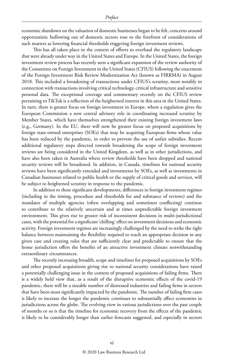economic shutdown on the valuation of domestic businesses began to be felt, concerns around opportunistic hollowing out of domestic sectors rose to the forefront of considerations of such matters as lowering financial thresholds triggering foreign investment reviews.

This has all taken place in the context of efforts to overhaul the regulatory landscape that were already under way in the United States and Europe. In the United States, the foreign investment review process has recently seen a significant expansion of the review authority of the Committee on Foreign Investment in the United States (CFIUS) following the enactment of the Foreign Investment Risk Review Modernization Act (known as FIRRMA) in August 2018. This included a broadening of transactions under CFIUS's scrutiny, most notably in connection with transactions involving critical technology, critical infrastructure and sensitive personal data. The exceptional coverage and commentary recently on the CFIUS review pertaining to TikTok is a reflection of the heightened interest in this area in the United States. In turn, there is greater focus on foreign investment in Europe, where a regulation gives the European Commission a new central advisory role in coordinating increased scrutiny by Member States, which have themselves strengthened their existing foreign investment laws (e.g., Germany). In the EU, there will now be greater focus on proposed acquisitions by foreign state-owned enterprises (SOEs) that may be acquiring European firms whose value has been reduced by the pandemic, in order to prevent the use of unfair subsidies. Recent additional regulatory steps directed towards broadening the scope of foreign investment reviews are being considered in the United Kingdom, as well as in other jurisdictions, and have also been taken in Australia where review thresholds have been dropped and national security reviews will be broadened. In addition, in Canada, timelines for national security reviews have been significantly extended and investments by SOEs, as well as investments in Canadian businesses related to public health or the supply of critical goods and services, will be subject to heightened scrutiny in response to the pandemic.

In addition to these significant developments, differences in foreign investment regimes (including in the timing, procedure and thresholds for and substance of reviews) and the mandates of multiple agencies (often overlapping and sometimes conflicting) continue to contribute to the relatively uncertain and at times unpredictable foreign investment environment. This gives rise to greater risk of inconsistent decisions in multi-jurisdictional cases, with the potential for a significant 'chilling' effect on investment decisions and economic activity. Foreign investment regimes are increasingly challenged by the need to strike the right balance between maintaining the flexibility required to reach an appropriate decision in any given case and creating rules that are sufficiently clear and predictable to ensure that the home jurisdiction offers the benefits of an attractive investment climate notwithstanding extraordinary circumstances.

The recently increasing breadth, scope and timelines for proposed acquisitions by SOEs and other proposed acquisitions giving rise to national security considerations have raised a potentially challenging issue in the context of proposed acquisitions of failing firms. There is a widely held view that, as a result of the disruptive economic effects of the covid-19 pandemic, there will be a sizeable number of distressed industries and failing firms in sectors that have been most significantly impacted by the pandemic. The number of failing firm cases is likely to increase the longer the pandemic continues to substantially affect economies in jurisdictions across the globe. The evolving view in various jurisdictions over the past couple of months or so is that the timeline for economic recovery from the effects of the pandemic is likely to be considerably longer than earlier forecasts suggested, and especially in sectors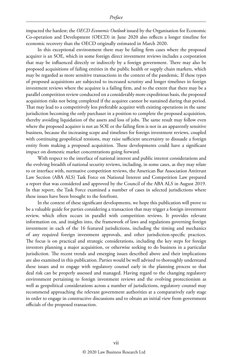impacted the hardest; the *OECD Economic Outlook* issued by the Organisation for Economic Co-operation and Development (OECD) in June 2020 also reflects a longer timeline for economic recovery than the OECD originally estimated in March 2020.

In this exceptional environment there may be failing firm cases where the proposed acquirer is an SOE, which in some foreign direct investment reviews includes a corporation that may be influenced directly or indirectly by a foreign government. There may also be proposed acquisitions of failing entities in the public health or supply chain markets, which may be regarded as more sensitive transactions in the context of the pandemic. If these types of proposed acquisitions are subjected to increased scrutiny and longer timelines in foreign investment reviews where the acquiree is a failing firm, and to the extent that there may be a parallel competition review conducted on a considerably more expeditious basis, the proposed acquisition risks not being completed if the acquiree cannot be sustained during that period. That may lead to a competitively less preferable acquirer with existing operations in the same jurisdiction becoming the only purchaser in a position to complete the proposed acquisition, thereby avoiding liquidation of the assets and loss of jobs. The same result may follow even where the proposed acquirer is not an SOE or the failing firm is not in an apparently sensitive business, because the increasing scope and timelines for foreign investment reviews, coupled with continuing geopolitical tensions, may raise sufficient uncertainty to dissuade a foreign entity from making a proposed acquisition. These developments could have a significant impact on domestic market concentrations going forward.

With respect to the interface of national interest and public interest considerations and the evolving breadth of national security reviews, including, in some cases, as they may relate to or interface with, normative competition reviews, the American Bar Association Antitrust Law Section (ABA ALS) Task Force on National Interest and Competition Law prepared a report that was considered and approved by the Council of the ABA ALS in August 2019. In that report, the Task Force examined a number of cases in selected jurisdictions where these issues have been brought to the forefront.

In the context of these significant developments, we hope this publication will prove to be a valuable guide for parties considering a transaction that may trigger a foreign investment review, which often occurs in parallel with competition reviews. It provides relevant information on, and insights into, the framework of laws and regulations governing foreign investment in each of the 16 featured jurisdictions, including the timing and mechanics of any required foreign investment approvals, and other jurisdiction-specific practices. The focus is on practical and strategic considerations, including the key steps for foreign investors planning a major acquisition, or otherwise seeking to do business in a particular jurisdiction. The recent trends and emerging issues described above and their implications are also examined in this publication. Parties would be well advised to thoroughly understand these issues and to engage with regulatory counsel early in the planning process so that deal risk can be properly assessed and managed. Having regard to the changing regulatory environment pertaining to foreign investment reviews and the evolving protectionism as well as geopolitical considerations across a number of jurisdictions, regulatory counsel may recommend approaching the relevant government authorities at a comparatively early stage in order to engage in constructive discussions and to obtain an initial view from government officials of the proposed transaction.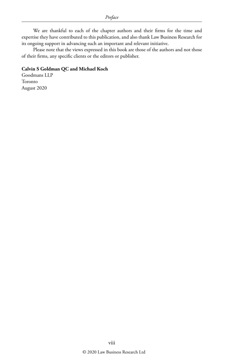We are thankful to each of the chapter authors and their firms for the time and expertise they have contributed to this publication, and also thank Law Business Research for its ongoing support in advancing such an important and relevant initiative.

Please note that the views expressed in this book are those of the authors and not those of their firms, any specific clients or the editors or publisher.

#### **Calvin S Goldman QC and Michael Koch**

Goodmans LLP Toronto August 2020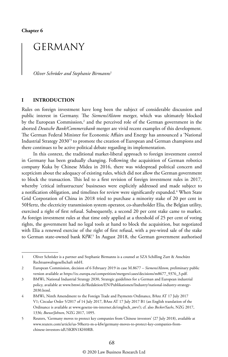**Chapter 6**

## GERMANY

*Oliver Schröder and Stephanie Birmanns*<sup>1</sup>

#### **I INTRODUCTION**

Rules on foreign investment have long been the subject of considerable discussion and public interest in Germany. The *Siemens/Alstom* merger, which was ultimately blocked by the European Commission,<sup>2</sup> and the perceived role of the German government in the aborted *Deutsche Bank/Commerzbank* merger are vivid recent examples of this development. The German Federal Minister for Economic Affairs and Energy has announced a 'National Industrial Strategy 2030'3 to promote the creation of European and German champions and there continues to be active political debate regarding its implementation.

In this context, the traditional market-liberal approach to foreign investment control in Germany has been gradually changing. Following the acquisition of German robotics company Kuka by Chinese Midea in 2016, there was widespread political concern and scepticism about the adequacy of existing rules, which did not allow the German government to block the transaction. This led to a first revision of foreign investment rules in 2017, whereby 'critical infrastructure' businesses were explicitly addressed and made subject to a notification obligation, and timelines for review were significantly expanded.<sup>4</sup> When State Grid Corporation of China in 2018 tried to purchase a minority stake of 20 per cent in 50Hertz, the electricity transmission system operator, co-shareholder Elia, the Belgian utility, exercised a right of first refusal. Subsequently, a second 20 per cent stake came to market. As foreign investment rules at that time only applied at a threshold of 25 per cent of voting rights, the government had no legal tools at hand to block the acquisition, but negotiated with Elia a renewed exercise of the right of first refusal, with a pre-wired sale of the stake to German state-owned bank KfW.5 In August 2018, the German government authorised

<sup>1</sup> Oliver Schröder is a partner and Stephanie Birmanns is a counsel at SZA Schilling Zutt & Anschütz Rechtsanwaltsgesellschaft mbH.

<sup>2</sup> European Commission, decision of 6 February 2019 in case M.8677 – *Siemens/Alstom*, preliminary public version available at https://ec.europa.eu/competition/mergers/cases/decisions/m8677\_9376\_3.pdf.

<sup>3</sup> BMWi, National Industrial Strategy 2030, Strategic guidelines for a German and European industrial policy, available at www.bmwi.de/Redaktion/EN/Publikationen/Industry/national-industry-strategy-2030.html.

<sup>4</sup> BMWi, Ninth Amendment to the Foreign Trade and Payments Ordinance, BAnz AT 17 July 2017 V1; Circular Order 5/2017 of 14 July 2017, BAnz AT 17 July 2017 B1 (an English translation of the Ordinance is available at www.gesetze-im-internet.de/englisch\_awv/); cf. also *Becker/Sachs*, NZG 2017, 1336; *Boewe/Johnen*, NZG 2017, 1095.

<sup>5</sup> Reuters, 'Germany moves to protect key companies from Chinese investors' (27 July 2018), available at www.reuters.com/article/us-50hertz-m-a-kfw/germany-moves-to-protect-key-companies-fromchinese-investors-idUSKBN1KH0RB.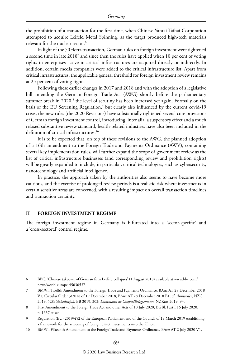the prohibition of a transaction for the first time, when Chinese Yantai Taihai Corporation attempted to acquire Leifeld Metal Spinning, as the target produced high-tech materials relevant for the nuclear sector.<sup>6</sup>

In light of the 50Hertz transaction, German rules on foreign investment were tightened a second time in late 2018<sup>7</sup> and since then the rules have applied when 10 per cent of voting rights in enterprises active in critical infrastructures are acquired directly or indirectly. In addition, certain media companies were added to the critical infrastructure list. Apart from critical infrastructures, the applicable general threshold for foreign investment review remains at 25 per cent of voting rights.

Following these earlier changes in 2017 and 2018 and with the adoption of a legislative bill amending the German Foreign Trade Act (AWG) shortly before the parliamentary summer break in 2020, $^{\rm 8}$  the level of scrutiny has been increased yet again. Formally on the basis of the EU Screening Regulation,<sup>9</sup> but clearly also influenced by the current covid-19 crisis, the new rules (the 2020 Revisions) have substantially tightened several core provisions of German foreign investment control, introducing, inter alia, a suspensory effect and a much relaxed substantive review standard; health-related industries have also been included in the definition of critical infrastructures.<sup>10</sup>

It is to be expected that, on top of these revisions to the AWG, the planned adoption of a 16th amendment to the Foreign Trade and Payments Ordinance (AWV), containing several key implementation rules, will further expand the scope of government review as the list of critical infrastructure businesses (and corresponding review and prohibition rights) will be greatly expanded to include, in particular, critical technologies, such as cybersecurity, nanotechnology and artificial intelligence.

In practice, the approach taken by the authorities also seems to have become more cautious, and the exercise of prolonged review periods is a realistic risk where investments in certain sensitive areas are concerned, with a resulting impact on overall transaction timelines and transaction certainty.

#### **II FOREIGN INVESTMENT REGIME**

The foreign investment regime in Germany is bifurcated into a 'sector-specific' and a 'cross-sectoral' control regime.

<sup>6</sup> BBC, 'Chinese takeover of German firm Leifeld collapses' (1 August 2018) available at www.bbc.com/ news/world-europe-45030537.

<sup>7</sup> BMWi, Twelfth Amendment to the Foreign Trade and Payments Ordinance, BAnz AT 28 December 2018 V1; Circular Order 3/2018 of 19 December 2018, BAnz AT 28 December 2018 B1; cf. *Annweiler*, NZG 2019, 528; *Slobodenjuk*, BB 2019, 202; *Dammann de Chapto/Brüggemann*, NZKart 2019, 93.

<sup>8</sup> First Amendment to the Foreign Trade Act and other Acts of 10 July 2020, BGBl. Part I 16 July 2020, p. 1637 et seq.

<sup>9</sup> Regulation (EU) 2019/452 of the European Parliament and of the Council of 19 March 2019 establishing a framework for the screening of foreign direct investments into the Union.

<sup>10</sup> BMWi, Fifteenth Amendment to the Foreign Trade and Payments Ordinance, BAnz AT 2 July 2020 V1.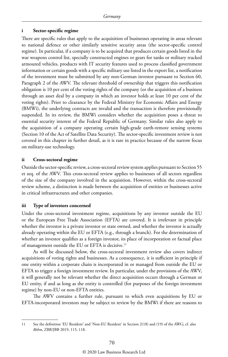#### **i Sector-specific regime**

There are specific rules that apply to the acquisition of businesses operating in areas relevant to national defence or other similarly sensitive security areas (the sector-specific control regime). In particular, if a company is to be acquired that produces certain goods listed in the war weapons control list, specially constructed engines or gears for tanks or military tracked armoured vehicles, products with IT security features used to process classified government information or certain goods with a specific military use listed in the export list, a notification of the investment must be submitted by any non-German investor pursuant to Section 60, Paragraph 2 of the AWV. The relevant threshold of ownership that triggers this notification obligation is 10 per cent of the voting rights of the company (or the acquisition of a business through an asset deal by a company in which an investor holds at least 10 per cent of the voting rights). Prior to clearance by the Federal Ministry for Economic Affairs and Energy (BMWi), the underlying contracts are invalid and the transaction is therefore provisionally suspended. In its review, the BMWi considers whether the acquisition poses a threat to essential security interest of the Federal Republic of Germany. Similar rules also apply to the acquisition of a company operating certain high-grade earth-remote sensing systems (Section 10 of the Act of Satellite Data Security). The sector-specific investment review is not covered in this chapter in further detail, as it is rare in practice because of the narrow focus on military-use technology.

#### **ii Cross-sectoral regime**

Outside the sector-specific review, a cross-sectoral review system applies pursuant to Section 55 et seq. of the AWV. This cross-sectoral review applies to businesses of all sectors regardless of the size of the company involved in the acquisition. However, within the cross-sectoral review scheme, a distinction is made between the acquisition of entities or businesses active in critical infrastructures and other companies.

#### **iii Type of investors concerned**

Under the cross-sectoral investment regime, acquisitions by any investor outside the EU or the European Free Trade Association (EFTA) are covered. It is irrelevant in principle whether the investor is a private investor or state owned, and whether the investor is actually already operating within the EU or EFTA (e.g., through a branch). For the determination of whether an investor qualifies as a foreign investor, its place of incorporation or factual place of management outside the EU or EFTA is decisive.<sup>11</sup>

As will be discussed below, the cross-sectoral investment review also covers indirect acquisitions of voting rights and businesses. As a consequence, it is sufficient in principle if one entity within a corporate chain is incorporated in or managed from outside the EU or EFTA to trigger a foreign investment review. In particular, under the provisions of the AWV, it will generally not be relevant whether the direct acquisition occurs through a German or EU entity, if and as long as the entity is controlled (for purposes of the foreign investment regime) by non-EU or non-EFTA entities.

The AWV contains a further rule, pursuant to which even acquisitions by EU or EFTA-incorporated investors may be subject to review by the BMWi if there are reasons to

<sup>11</sup> See the definition 'EU Resident' and 'Non-EU Resident' in Section 2(18) and (19) of the AWG; cf. also *Böhm*, ZBB/JBB 2019, 115, 118.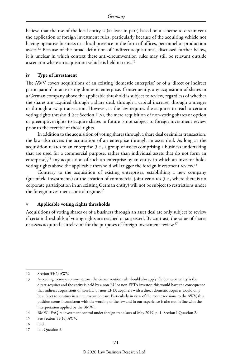believe that the use of the local entity is (at least in part) based on a scheme to circumvent the application of foreign investment rules, particularly because of the acquiring vehicle not having operative business or a local presence in the form of offices, personnel or production assets.12 Because of the broad definition of 'indirect acquisitions', discussed further below, it is unclear in which context these anti-circumvention rules may still be relevant outside a scenario where an acquisition vehicle is held in trust.<sup>13</sup>

#### **iv Type of investment**

The AWV covers acquisitions of an existing 'domestic enterprise' or of a 'direct or indirect participation' in an existing domestic enterprise. Consequently, any acquisition of shares in a German company above the applicable threshold is subject to review, regardless of whether the shares are acquired through a share deal, through a capital increase, through a merger or through a swap transaction. However, as the law requires the acquirer to reach a certain voting rights threshold (see Section II.v), the mere acquisition of non-voting shares or option or preemptive rights to acquire shares in future is not subject to foreign investment review prior to the exercise of those rights.

In addition to the acquisition of voting shares through a share deal or similar transaction, the law also covers the acquisition of an enterprise through an asset deal. As long as the acquisition relates to an enterprise (i.e., a group of assets comprising a business undertaking that are used for a commercial purpose, rather than individual assets that do not form an enterprise), $14$  any acquisition of such an enterprise by an entity in which an investor holds voting rights above the applicable threshold will trigger the foreign investment review.15

Contrary to the acquisition of existing enterprises, establishing a new company (greenfield investments) or the creation of commercial joint ventures (i.e., where there is no corporate participation in an existing German entity) will not be subject to restrictions under the foreign investment control regime.<sup>16</sup>

#### **v Applicable voting rights thresholds**

Acquisitions of voting shares or of a business through an asset deal are only subject to review if certain thresholds of voting rights are reached or surpassed. By contrast, the value of shares or assets acquired is irrelevant for the purposes of foreign investment review.<sup>17</sup>

16 ibid.

17 id., Question 3.

<sup>12</sup> Section 55(2) AWV.

<sup>13</sup> According to some commentators, the circumvention rule should also apply if a domestic entity is the direct acquirer and the entity is held by a non-EU or non-EFTA investor; this would have the consequence that indirect acquisitions of non-EU or non-EFTA acquirers with a direct domestic acquirer would only be subject to scrutiny in a circumvention case. Particularly in view of the recent revisions to the AWV, this position seems inconsistent with the wording of the law and in our experience is also not in line with the interpretation applied by the BMWi.

<sup>14</sup> BMWi, FAQ re investment control under foreign trade laws of May 2019, p. 1, Section I Question 2.

<sup>15</sup> See Section 55(1a) AWV.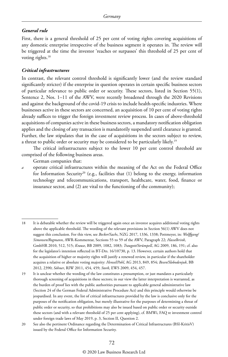#### *General rule*

First, there is a general threshold of 25 per cent of voting rights covering acquisitions of any domestic enterprise irrespective of the business segment it operates in. The review will be triggered at the time the investor 'reaches or surpasses' this threshold of 25 per cent of voting rights.<sup>18</sup>

#### *Critical infrastructures*

In contrast, the relevant control threshold is significantly lower (and the review standard significantly stricter) if the enterprise in question operates in certain specific business sectors of particular relevance to public order or security. These sectors, listed in Section 55(1), Sentence 2, Nos. 1–11 of the AWV, were recently broadened through the 2020 Revisions and against the background of the covid-19 crisis to include health-specific industries. Where businesses active in these sectors are concerned, an acquisition of 10 per cent of voting rights already suffices to trigger the foreign investment review process. In cases of above-threshold acquisitions of companies active in these business sectors, a mandatory notification obligation applies and the closing of any transaction is mandatorily suspended until clearance is granted. Further, the law stipulates that in the case of acquisitions in the sectors subject to review, a threat to public order or security may be considered to be particularly likely.19

The critical infrastructures subject to the lower 10 per cent control threshold are comprised of the following business areas.

German companies that:

*a* operate critical infrastructures within the meaning of the Act on the Federal Office for Information Security<sup>20</sup> (e.g., facilities that  $(1)$  belong to the energy, information technology and telecommunications, transport, healthcare, water, food, finance or insurance sector, and (2) are vital to the functioning of the community);

<sup>18</sup> It is debatable whether the review will be triggered again once an investor acquires additional voting rights above the applicable threshold. The wording of the relevant provisions in Section 56(1) AWV does not suggest this conclusion. For this view, see *Becker/Sachs*, NZG 2017, 1336, 1338; Pottmeyer, in: *Wolffgang/ Simonsen/Rogmann*, AWR-Kommentar, Sections 55 to 59 of the AWV, Paragraph 22; *Hasselbrink*, GmbHR 2010, 512, 515; *Krause*, BB 2009, 1082, 1083; *Traugott/Strümpell*, AG 2009, 186, 191; cf. also for the legislator's intention reflected in BT-Drs. 16/10730, p. 13. However, certain authors hold that the acquisition of higher or majority rights will justify a renewed review, in particular if the shareholder acquires a relative or absolute voting majority: *Hensel/Pohl*, AG 2013, 849, 854; *Besen/Slobodenjuk*, BB 2012, 2390; *Söhner*, RIW 2011, 454, 459; *Stork*, EWS 2009, 454, 457.

<sup>19</sup> It is unclear whether the wording of the law constitutes a presumption, or just mandates a particularly thorough screening of acquisitions in these sectors; in our view the latter interpretation is warranted, as the burden of proof lies with the public authorities pursuant to applicable general administrative law (Section 24 of the German Federal Administrative Procedure Act) and this principle would otherwise be jeopardised. In any event, the list of critical infrastructures provided by the law is conclusive only for the purposes of the notification obligation, but merely illustrative for the purposes of determining a threat of public order or security, so that prohibitions may also be issued based on public order or security outside these sectors (and with a relevant threshold of 25 per cent applying), cf. BMWi, FAQ re investment control under foreign trade laws of May 2019, p. 3, Section II, Question 2.

<sup>20</sup> See also the pertinent Ordinance regarding the Determination of Critical Infrastructures (BSI-KritisV) issued by the Federal Office for Information Security.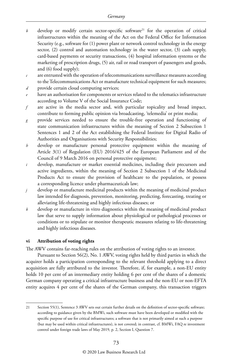- $b$  develop or modify certain sector-specific software<sup>21</sup> for the operation of critical infrastructures within the meaning of the Act on the Federal Office for Information Security (e.g., software for (1) power plant or network control technology in the energy sector, (2) control and automation technology in the water sector, (3) cash supply, card-based payments or security transactions, (4) hospital information systems or the marketing of prescription drugs, (5) air, rail or road transport of passengers and goods, and (6) food supply);
- *c* are entrusted with the operation of telecommunications surveillance measures according to the Telecommunications Act or manufacture technical equipment for such measures;
- *d* provide certain cloud computing services;
- *e* have an authorisation for components or services related to the telematics infrastructure according to Volume V of the Social Insurance Code;
- are active in the media sector and, with particular topicality and broad impact, contribute to forming public opinion via broadcasting, 'telemedia' or print media;
- *g* provide services needed to ensure the trouble-free operation and functioning of state communication infrastructures within the meaning of Section 2 Subsection 1 Sentences 1 and 2 of the Act establishing the Federal Institute for Digital Radio of Authorities and Organisations with Security Responsibilities;
- *h* develop or manufacture personal protective equipment within the meaning of Article 3(1) of Regulation (EU) 2016/425 of the European Parliament and of the Council of 9 March 2016 on personal protective equipment;
- *i* develop, manufacture or market essential medicines, including their precursors and active ingredients, within the meaning of Section 2 Subsection 1 of the Medicinal Products Act to ensure the provision of healthcare to the population, or possess a corresponding licence under pharmaceuticals law;
- *j* develop or manufacture medicinal products within the meaning of medicinal product law intended for diagnosis, prevention, monitoring, predicting, forecasting, treating or alleviating life-threatening and highly infectious diseases; or
- *k* develop or manufacture in vitro diagnostics within the meaning of medicinal product law that serve to supply information about physiological or pathological processes or conditions or to stipulate or monitor therapeutic measures relating to life-threatening and highly infectious diseases.

#### **vi Attribution of voting rights**

The AWV contains far-reaching rules on the attribution of voting rights to an investor.

Pursuant to Section 56(2), No. 1 AWV, voting rights held by third parties in which the acquirer holds a participation corresponding to the relevant threshold applying to a direct acquisition are fully attributed to the investor. Therefore, if, for example, a non-EU entity holds 10 per cent of an intermediary entity holding 6 per cent of the shares of a domestic German company operating a critical infrastructure business and the non-EU or non-EFTA entity acquires 4 per cent of the shares of the German company, this transaction triggers

#### © 2020 Law Business Research Ltd

<sup>21</sup> Section 55(1), Sentence 3 AWV sets out certain further details on the definition of sector-specific software; according to guidance given by the BMWi, such software must have been developed or modified with the specific purpose of use for critical infrastructures; a software that is not primarily aimed at such a purpose (but may be used within critical infrastructures), is not covered; in contrast, cf. BMWi, FAQ re investment control under foreign trade laws of May 2019, p. 2, Section I, Question 7.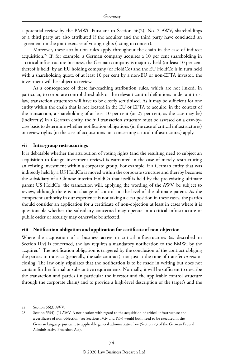a potential review by the BMWi. Pursuant to Section 56(2), No. 2 AWV, shareholdings of a third party are also attributed if the acquirer and the third party have concluded an agreement on the joint exercise of voting rights (acting in concert).

Moreover, these attribution rules apply throughout the chain in the case of indirect acquisition.22 If, for example, a German company acquires a 10 per cent shareholding in a critical infrastructure business, the German company is majority held (or least 10 per cent thereof is held) by an EU holding company (or HoldCo) and the EU HoldCo is in turn held with a shareholding quota of at least 10 per cent by a non-EU or non-EFTA investor, the investment will be subject to review.

As a consequence of these far-reaching attribution rules, which are not linked, in particular, to corporate control thresholds or the relevant control definitions under antitrust law, transaction structures will have to be closely scrutinised. As it may be sufficient for one entity within the chain that is not located in the EU or EFTA to acquire, in the context of the transaction, a shareholding of at least 10 per cent (or 25 per cent, as the case may be) (indirectly) in a German entity, the full transaction structure must be assessed on a case-bycase basis to determine whether notification obligations (in the case of critical infrastructures) or review rights (in the case of acquisitions not concerning critical infrastructures) apply.

#### **vii Intra-group restructurings**

It is debatable whether the attribution of voting rights (and the resulting need to subject an acquisition to foreign investment review) is warranted in the case of merely restructuring an existing investment within a corporate group. For example, if a German entity that was indirectly held by a US HoldCo is moved within the corporate structure and thereby becomes the subsidiary of a Chinese interim HoldCo that itself is held by the pre-existing ultimate parent US HoldCo, the transaction will, applying the wording of the AWV, be subject to review, although there is no change of control on the level of the ultimate parent. As the competent authority in our experience is not taking a clear position in these cases, the parties should consider an application for a certificate of non-objection at least in cases where it is questionable whether the subsidiary concerned may operate in a critical infrastructure or public order or security may otherwise be affected.

#### **viii Notification obligation and application for certificate of non-objection**

Where the acquisition of a business active in critical infrastructures (as described in Section II.v) is concerned, the law requires a mandatory notification to the BMWi by the acquirer.<sup>23</sup> The notification obligation is triggered by the conclusion of the contract obliging the parties to transact (generally, the sale contract), not just at the time of transfer *in rem* or closing. The law only stipulates that the notification is to be made in writing but does not contain further formal or substantive requirements. Normally, it will be sufficient to describe the transaction and parties (in particular the investor and the applicable control structure through the corporate chain) and to provide a high-level description of the target's and the

<sup>22</sup> Section 56(3) AWV.

<sup>23</sup> Section 55(4), (1) AWV. A notification with regard to the acquisition of critical infrastructure and a certificate of non-objection (see Sections IV.iv and IV.v) would both need to be executed in the German language pursuant to applicable general administrative law (Section 23 of the German Federal Administrative Procedure Act).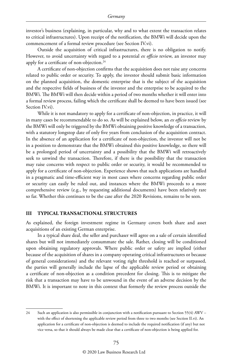investor's business (explaining, in particular, why and to what extent the transaction relates to critical infrastructures). Upon receipt of the notification, the BMWi will decide upon the commencement of a formal review procedure (see Section IV.vi).

Outside the acquisition of critical infrastructures, there is no obligation to notify. However, to avoid uncertainty with regard to a potential *ex officio* review, an investor may apply for a certificate of non-objection.<sup>24</sup>

A certificate of non-objection confirms that the acquisition does not raise any concerns related to public order or security. To apply, the investor should submit basic information on the planned acquisition, the domestic enterprise that is the subject of the acquisition and the respective fields of business of the investor and the enterprise to be acquired to the BMWi. The BMWi will then decide within a period of two months whether it will enter into a formal review process, failing which the certificate shall be deemed to have been issued (see Section IV.vi).

While it is not mandatory to apply for a certificate of non-objection, in practice, it will in many cases be recommendable to do so. As will be explained below, an *ex officio* review by the BMWi will only be triggered by the BMWi obtaining positive knowledge of a transaction, with a statutory longstop date of only five years from conclusion of the acquisition contract. In the absence of an application for a certificate of non-objection, the investor will not be in a position to demonstrate that the BMWi obtained this positive knowledge, so there will be a prolonged period of uncertainty and a possibility that the BMWi will retroactively seek to unwind the transaction. Therefore, if there is the possibility that the transaction may raise concerns with respect to public order or security, it would be recommended to apply for a certificate of non-objection. Experience shows that such applications are handled in a pragmatic and time-efficient way in most cases where concerns regarding public order or security can easily be ruled out, and instances where the BMWi proceeds to a more comprehensive review (e.g., by requesting additional documents) have been relatively rare so far. Whether this continues to be the case after the 2020 Revisions, remains to be seen.

#### **III TYPICAL TRANSACTIONAL STRUCTURES**

As explained, the foreign investment regime in Germany covers both share and asset acquisitions of an existing German enterprise.

In a typical share deal, the seller and purchaser will agree on a sale of certain identified shares but will not immediately consummate the sale. Rather, closing will be conditioned upon obtaining regulatory approvals. Where public order or safety are implied (either because of the acquisition of shares in a company operating critical infrastructures or because of general considerations) and the relevant voting right threshold is reached or surpassed, the parties will generally include the lapse of the applicable review period or obtaining a certificate of non-objection as a condition precedent for closing. This is to mitigate the risk that a transaction may have to be unwound in the event of an adverse decision by the BMWi. It is important to note in this context that formerly the review process outside the

<sup>24</sup> Such an application is also permissible in conjunction with a notification pursuant to Section 55(4) AWV – with the effect of shortening the applicable review period from three to two months (see Section II.vi). An application for a certificate of non-objection is deemed to include the required notification (if any) but not vice versa, so that it should always be made clear that a certificate of non-objection is being applied for.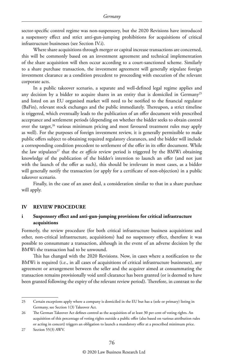sector-specific control regime was non-suspensory, but the 2020 Revisions have introduced a suspensory effect and strict anti-gun-jumping prohibitions for acquisitions of critical infrastructure businesses (see Section IV.i).

Where share acquisitions through merger or capital increase transactions are concerned, this will be commonly based on an investment agreement and technical implementation of the share acquisition will then occur according to a court-sanctioned scheme. Similarly to a share purchase transaction, the investment agreement will generally stipulate foreign investment clearance as a condition precedent to proceeding with execution of the relevant corporate acts.

In a public takeover scenario, a separate and well-defined legal regime applies and any decision by a bidder to acquire shares in an entity that is domiciled in Germany<sup>25</sup> and listed on an EU organised market will need to be notified to the financial regulator (BaFin), relevant stock exchanges and the public immediately. Thereupon, a strict timeline is triggered, which eventually leads to the publication of an offer document with prescribed acceptance and settlement periods (depending on whether the bidder seeks to obtain control over the target, $26$  various minimum pricing and most favoured treatment rules may apply as well). For the purposes of foreign investment review, it is generally permissible to make public offers subject to obtaining required regulatory clearances, and the bidder will include a corresponding condition precedent to settlement of the offer in its offer document. While the law stipulates<sup>27</sup> that the *ex officio* review period is triggered by the BMWi obtaining knowledge of the publication of the bidder's intention to launch an offer (and not just with the launch of the offer as such), this should be irrelevant in most cases, as a bidder will generally notify the transaction (or apply for a certificate of non-objection) in a public takeover scenario.

Finally, in the case of an asset deal, a consideration similar to that in a share purchase will apply.

#### **IV REVIEW PROCEDURE**

#### **i Suspensory effect and anti-gun-jumping provisions for critical infrastructure acquisitions**

Formerly, the review procedure (for both critical infrastructure business acquisitions and other, non-critical infrastructure, acquisitions) had no suspensory effect, therefore it was possible to consummate a transaction, although in the event of an adverse decision by the BMWi the transaction had to be unwound.

This has changed with the 2020 Revisions. Now, in cases where a notification to the BMWi is required (i.e., in all cases of acquisitions of critical infrastructure businesses), any agreement or arrangement between the seller and the acquirer aimed at consummating the transaction remains provisionally void until clearance has been granted (or is deemed to have been granted following the expiry of the relevant review period). Therefore, in contrast to the

<sup>25</sup> Certain exceptions apply where a company is domiciled in the EU but has a (sole or primary) listing in Germany, see Section 1(3) Takeover Act.

<sup>26</sup> The German Takeover Act defines control as the acquisition of at least 30 per cent of voting rights. An acquisition of this percentage of voting rights outside a public offer (also based on various attribution rules or acting in concert) triggers an obligation to launch a mandatory offer at a prescribed minimum price.

<sup>27</sup> Section 55(3) AWV.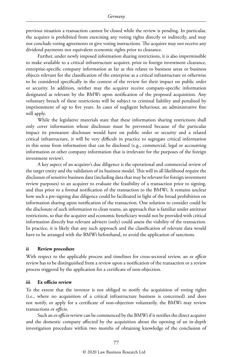previous situation a transaction cannot be closed while the review is pending. In particular, the acquirer is prohibited from exercising any voting rights directly or indirectly, and may not conclude voting agreements or give voting instructions. The acquirer may not receive any dividend payments nor equivalent economic rights prior to clearance.

Further, under newly imposed information sharing restrictions, it is also impermissible to make available to a critical infrastructure acquirer, prior to foreign investment clearance, enterprise-specific company information as far as this relates to business areas or business objects relevant for the classification of the enterprise as a critical infrastructure or otherwise to be considered specifically in the context of the review for their impact on public order or security. In addition, neither may the acquirer receive company-specific information designated as relevant by the BMWi upon notification of the proposed acquisition. Any voluntary breach of these restrictions will be subject to criminal liability and penalised by imprisonment of up to five years. In cases of negligent behaviour, an administrative fine will apply.

While the legislative materials state that these information sharing restrictions shall only cover information whose disclosure must be prevented because of the particular impact its premature disclosure would have on public order or security and a related critical infrastructure, it will be very difficult in practice to segregate critical information in this sense from information that can be disclosed (e.g., commercial, legal or accounting information or other company information that is irrelevant for the purposes of the foreign investment review).

A key aspect of an acquirer's due diligence is the operational and commercial review of the target entity and the validation of its business model. This will in all likelihood require the disclosure of sensitive business data (including data that may be relevant for foreign investment review purposes) to an acquirer to evaluate the feasibility of a transaction prior to signing, and thus prior to a formal notification of the transaction to the BMWi. It remains unclear how such a pre-signing due diligence could be facilitated in light of the broad prohibition on information sharing upon notification of the transaction. One solution to consider could be the disclosure of such information to clean teams, an approach that is familiar under antitrust restrictions, so that the acquirer and economic beneficiary would not be provided with critical information directly but relevant advisers (only) could assess the viability of the transaction. In practice, it is likely that any such approach and the classification of relevant data would have to be arranged with the BMWi beforehand, to avoid the application of sanctions.

#### **ii Review procedure**

With respect to the applicable process and timelines for cross-sectoral review, an *ex officio* review has to be distinguished from a review upon a notification of the transaction or a review process triggered by the application for a certificate of non-objection.

#### **iii Ex officio review**

To the extent that the investor is not obliged to notify the acquisition of voting rights (i.e., where no acquisition of a critical infrastructure business is concerned) and does not notify, or apply for a certificate of non-objection voluntarily, the BMWi may review transactions *ex officio*.

Such an *ex officio* review can be commenced by the BMWi if it notifies the direct acquirer and the domestic company affected by the acquisition about the opening of an in-depth investigation procedure within two months of obtaining knowledge of the conclusion of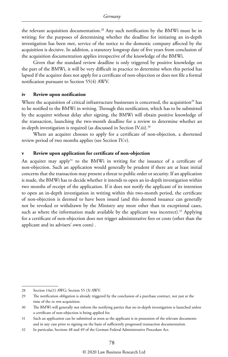the relevant acquisition documentation.28 Any such notification by the BMWi must be in writing; for the purposes of determining whether the deadline for initiating an in-depth investigation has been met, service of the notice to the domestic company affected by the acquisition is decisive. In addition, a statutory longstop date of five years from conclusion of the acquisition documentation applies irrespective of the knowledge of the BMWi.

Given that the standard review deadline is only triggered by positive knowledge on the part of the BMWi, it will be very difficult in practice to determine when this period has lapsed if the acquirer does not apply for a certificate of non-objection or does not file a formal notification pursuant to Section 55(4) AWV.

#### **iv Review upon notification**

Where the acquisition of critical infrastructure businesses is concerned, the acquisition<sup>29</sup> has to be notified to the BMWi in writing. Through this notification, which has to be submitted by the acquirer without delay after signing, the BMWi will obtain positive knowledge of the transaction, launching the two-month deadline for a review to determine whether an in-depth investigation is required (as discussed in Section IV.iii).<sup>30</sup>

Where an acquirer chooses to apply for a certificate of non-objection, a shortened review period of two months applies (see Section IV.v).

#### **v Review upon application for certificate of non-objection**

An acquirer may apply<sup>31</sup> to the BMWi in writing for the issuance of a certificate of non-objection. Such an application would generally be prudent if there are at least initial concerns that the transaction may present a threat to public order or security. If an application is made, the BMWi has to decide whether it intends to open an in-depth investigation within two months of receipt of the application. If it does not notify the applicant of its intention to open an in-depth investigation in writing within this two-month period, the certificate of non-objection is deemed to have been issued (and this deemed issuance can generally not be revoked or withdrawn by the Ministry any more other than in exceptional cases, such as where the information made available by the applicant was incorrect).<sup>32</sup> Applying for a certificate of non-objection does not trigger administrative fees or costs (other than the applicant and its advisers' own costs) .

<sup>28</sup> Section 14a(1) AWG; Section 55 (3) AWV.

<sup>29</sup> The notification obligation is already triggered by the conclusion of a purchase contract, not just at the time of the *in rem* acquisition.

<sup>30</sup> The BMWi will generally not inform the notifying parties that no in-depth investigation is launched unless a certificate of non-objection is being applied for.

<sup>31</sup> Such an application can be submitted as soon as the applicant is in possession of the relevant documents and in any case prior to signing on the basis of sufficiently progressed transaction documentation.

<sup>32</sup> In particular, Sections 48 and 49 of the German Federal Administrative Procedure Act.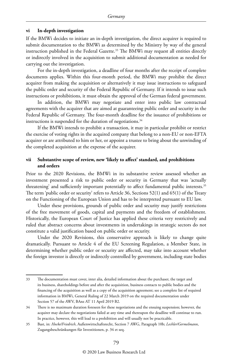#### **vi In-depth investigation**

If the BMWi decides to initiate an in-depth investigation, the direct acquirer is required to submit documentation to the BMWi as determined by the Ministry by way of the general instruction published in the Federal Gazette.<sup>33</sup> The BMWi may request all entities directly or indirectly involved in the acquisition to submit additional documentation as needed for carrying out the investigation.

For the in-depth investigation, a deadline of four months after the receipt of complete documents applies. Within this four-month period, the BMWi may prohibit the direct acquirer from making the acquisition or alternatively it may issue instructions to safeguard the public order and security of the Federal Republic of Germany. If it intends to issue such instructions or prohibitions, it must obtain the approval of the German federal government.

In addition, the BMWi may negotiate and enter into public law contractual agreements with the acquirer that are aimed at guaranteeing public order and security in the Federal Republic of Germany. The four-month deadline for the issuance of prohibitions or instructions is suspended for the duration of negotiations.<sup>34</sup>

If the BMWi intends to prohibit a transaction, it may in particular prohibit or restrict the exercise of voting rights in the acquired company that belong to a non-EU or non-EFTA acquirer or are attributed to him or her, or appoint a trustee to bring about the unwinding of the completed acquisition at the expense of the acquirer.

#### **vii Substantive scope of review, new 'likely to affect' standard, and prohibitions and orders**

Prior to the 2020 Revisions, the BMWi in its substantive review assessed whether an investment presented a risk to public order or security in Germany that was 'actually threatening' and sufficiently important potentially to affect fundamental public interests.<sup>35</sup> The term 'public order or security' refers to Article 36, Sections 52(1) and 65(1) of the Treaty on the Functioning of the European Union and has to be interpreted pursuant to EU law.

Under these provisions, grounds of public order and security may justify restrictions of the free movement of goods, capital and payments and the freedom of establishment. Historically, the European Court of Justice has applied these criteria very restrictively and ruled that abstract concerns about investments in undertakings in strategic sectors do not constitute a valid justification based on public order or security.

Under the 2020 Revisions, this conservative approach is likely to change quite dramatically. Pursuant to Article 4 of the EU Screening Regulation, a Member State, in determining whether public order or security are affected, may take into account whether the foreign investor is directly or indirectly controlled by government, including state bodies

<sup>33</sup> The documentation must cover, inter alia, detailed information about the purchaser, the target and its business, shareholdings before and after the acquisition, business contacts to public bodies and the financing of the acquisition as well as a copy of the acquisition agreement; see a complete list of required information in BMWi, General Ruling of 22 March 2019 on the required documentation under Section 57 of the AWV, BAnz AT 11 April 2019 B2.

<sup>34</sup> There is no maximum duration foreseen for these negotiations and the ensuing suspension; however, the acquirer may declare the negotiations failed at any time and thereupon the deadline will continue to run. In practice, however, this will lead to a prohibition and will usually not be practicable.

<sup>35</sup> Bast, in: *Hocke/Friedrich*, Außenwirtschaftsrecht, Section 7 AWG, Paragraph 10b; *Lechler/Germelmann*, Zugangsbeschränkungen für Investitionen, p. 34 et seq.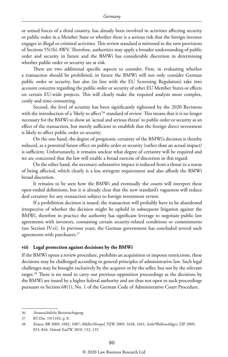or armed forces of a third country, has already been involved in activities affecting security or public order in a Member State or whether there is a serious risk that the foreign investor engages in illegal or criminal activities. This review standard is mirrored in the new provisions of Sections 55(1b) AWV. Therefore, authorities may apply a broader understanding of public order and security in future and the BMWi has considerable discretion in determining whether public order or security are at risk.

There are two additional specific aspects to consider. First, in evaluating whether a transaction should be prohibited, in future the BMWi will not only consider German public order or security, but also (in line with the EU Screening Regulation) take into account concerns regarding the public order or security of other EU Member States or effects on certain EU-wide projects. This will clearly make the required analysis more complex, costly and time-consuming.

Second, the level of scrutiny has been significantly tightened by the 2020 Revisions with the introduction of a 'likely to affect'<sup>36</sup> standard of review. This means that it is no longer necessary for the BMWi to show an 'actual and serious threat' to public order or security as an effect of the transaction, but merely sufficient to establish that the foreign direct investment is likely to affect public order or security.

On the one hand, the degree of prognostic certainty of the BMWi's decision is thereby reduced, as a potential future effect on public order or security (rather than an actual impact) is sufficient. Unfortunately, it remains unclear what degree of certainty will be required and we are concerned that the law will enable a broad exercise of discretion in this regard.

On the other hand, the necessary substantive impact is reduced from a threat to a status of being affected, which clearly is a less stringent requirement and also affords the BMWi broad discretion.

It remains to be seen how the BMWi and eventually the courts will interpret these open-ended definitions, but it is already clear that the new standard's vagueness will reduce deal certainty for any transaction subject to foreign investment review.

If a prohibition decision is issued, the transaction will probably have to be abandoned irrespective of whether the decision might be upheld in subsequent litigation against the BMWi, therefore in practice the authority has significant leverage to negotiate public law agreements with investors, containing certain security-related conditions or commitments (see Section IV.vi). In previous years, the German government has concluded several such agreements with purchasers.37

#### **viii Legal protection against decisions by the BMWi**

If the BMWi opens a review procedure, prohibits an acquisition or imposes restrictions, these decisions may be challenged according to general principles of administrative law. Such legal challenges may be brought exclusively by the acquirer or by the seller, but not by the relevant target.38 There is no need to carry out previous opposition proceedings as the decisions by the BMWi are issued by a higher federal authority and are thus not open to such proceedings pursuant to Section 68(1), No. 1 of the German Code of Administrative Court Procedure.

<sup>36</sup> *Voraussichtliche Beeinträchtigung.*

<sup>37</sup> BT-Drs. 19/1103, p. 8.

<sup>38</sup> *Krause*, BB 2009, 1082, 1087; *Müller/Hempel*, NJW 2009, 1638, 1641; *Seibt/Wollenschläger*, ZIP 2009, 833, 844; *Voland*, EuZW 2010, 132, 135.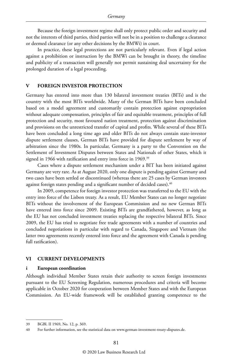Because the foreign investment regime shall only protect public order and security and not the interests of third parties, third parties will not be in a position to challenge a clearance or deemed clearance (or any other decisions by the BMWi) in court.

In practice, these legal protections are not particularly relevant. Even if legal action against a prohibition or instruction by the BMWi can be brought in theory, the timeline and publicity of a transaction will generally not permit sustaining deal uncertainty for the prolonged duration of a legal proceeding.

#### **V FOREIGN INVESTOR PROTECTION**

Germany has entered into more than 130 bilateral investment treaties (BITs) and is the country with the most BITs worldwide. Many of the German BITs have been concluded based on a model agreement and customarily contain protection against expropriation without adequate compensation, principles of fair and equitable treatment, principles of full protection and security, most favoured nation treatment, protection against discrimination and provisions on the unrestricted transfer of capital and profits. While several of these BITs have been concluded a long time ago and older BITs do not always contain state-investor dispute settlement clauses, German BITs have provided for dispute settlement by way of arbitration since the 1980s. In particular, Germany is a party to the Convention on the Settlement of Investment Disputes between States and Nationals of other States, which it signed in 1966 with ratification and entry into force in 1969.<sup>39</sup>

Cases where a dispute settlement mechanism under a BIT has been initiated against Germany are very rare. As at August 2020, only one dispute is pending against Germany and two cases have been settled or discontinued (whereas there are 25 cases by German investors against foreign states pending and a significant number of decided cases).<sup>40</sup>

In 2009, competence for foreign investor protection was transferred to the EU with the entry into force of the Lisbon treaty. As a result, EU Member States can no longer negotiate BITs without the involvement of the European Commission and no new German BITs have entered into force since 2009. Existing BITs are grandfathered, however, as long as the EU has not concluded investment treaties replacing the respective bilateral BITs. Since 2009, the EU has tried to negotiate free trade agreements with a number of countries and concluded negotiations in particular with regard to Canada, Singapore and Vietnam (the latter two agreements recently entered into force and the agreement with Canada is pending full ratification).

#### **VI CURRENT DEVELOPMENTS**

#### **i European coordination**

Although individual Member States retain their authority to screen foreign investments pursuant to the EU Screening Regulation, numerous procedures and criteria will become applicable in October 2020 for cooperation between Member States and with the European Commission. An EU-wide framework will be established granting competence to the

<sup>39</sup> BGBl. II 1969, No. 12, p. 369.

<sup>40</sup> For further information, see the statistical data on www.german-investment-treaty-disputes.de.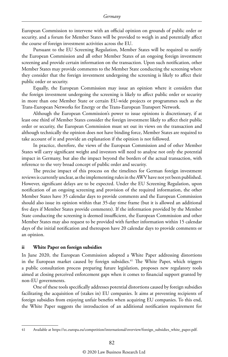European Commission to intervene with an official opinion on grounds of public order or security, and a forum for Member States will be provided to weigh in and potentially affect the course of foreign investment activities across the EU.

Pursuant to the EU Screening Regulation, Member States will be required to notify the European Commission and all other Member States of an ongoing foreign investment screening and provide certain information on the transaction. Upon such notification, other Member States may provide comments to the Member State conducting the screening where they consider that the foreign investment undergoing the screening is likely to affect their public order or security.

Equally, the European Commission may issue an opinion where it considers that the foreign investment undergoing the screening is likely to affect public order or security in more than one Member State or certain EU-wide projects or programmes such as the Trans-European Networks for Energy or the Trans-European Transport Network.

Although the European Commission's power to issue opinions is discretionary, if at least one third of Member States consider the foreign investment likely to affect their public order or security, the European Commission must set out its views on the transaction and although technically the opinion does not have binding force, Member States are required to take account of it and provide an explanation if the opinion is not followed.

In practice, therefore, the views of the European Commission and of other Member States will carry significant weight and investors will need to analyse not only the potential impact in Germany, but also the impact beyond the borders of the actual transaction, with reference to the very broad concept of public order and security.

The precise impact of this process on the timelines for German foreign investment reviews is currently unclear, as the implementing rules in the AWV have not yet been published. However, significant delays are to be expected. Under the EU Screening Regulation, upon notification of an ongoing screening and provision of the required information, the other Member States have 35 calendar days to provide comments and the European Commission should also issue its opinion within that 35-day time frame (but it is allowed an additional five days if Member States provide comments). If the information provided by the Member State conducting the screening is deemed insufficient, the European Commission and other Member States may also request to be provided with further information within 15 calendar days of the initial notification and thereupon have 20 calendar days to provide comments or an opinion.

#### **ii White Paper on foreign subsidies**

In June 2020, the European Commission adopted a White Paper addressing distortions in the European market caused by foreign subsidies.<sup>41</sup> The White Paper, which triggers a public consultation process preparing future legislation, proposes new regulatory tools aimed at closing perceived enforcement gaps when it comes to financial support granted by non-EU governments.

One of these tools specifically addresses potential distortions caused by foreign subsidies facilitating the acquisition of (stakes in) EU companies. It aims at preventing recipients of foreign subsidies from enjoying unfair benefits when acquiring EU companies. To this end, the White Paper suggests the introduction of an additional notification requirement for

<sup>41</sup> Available at https://ec.europa.eu/competition/international/overview/foreign\_subsidies\_white\_paper.pdf.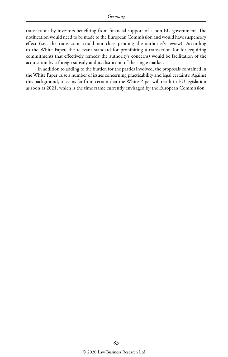transactions by investors benefiting from financial support of a non-EU government. The notification would need to be made to the European Commission and would have suspensory effect (i.e., the transaction could not close pending the authority's review). According to the White Paper, the relevant standard for prohibiting a transaction (or for requiring commitments that effectively remedy the authority's concerns) would be facilitation of the acquisition by a foreign subsidy and its distortion of the single market.

In addition to adding to the burden for the parties involved, the proposals contained in the White Paper raise a number of issues concerning practicability and legal certainty. Against this background, it seems far from certain that the White Paper will result in EU legislation as soon as 2021, which is the time frame currently envisaged by the European Commission.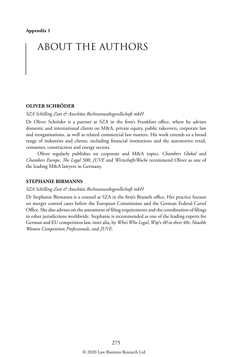## ABOUT THE AUTHORS

#### **OLIVER SCHRÖDER**

*SZA Schilling Zutt & Anschütz Rechtsanwaltsgesellschaft mbH*

Dr Oliver Schröder is a partner at SZA in the firm's Frankfurt office, where he advises domestic and international clients on M&A, private equity, public takeovers, corporate law and reorganisations, as well as related commercial law matters. His work extends to a broad range of industries and clients, including financial institutions and the automotive retail, consumer, construction and energy sectors.

Oliver regularly publishes on corporate and M&A topics. *Chambers Global* and *Chambers Europe*, *The Legal 500*, *JUVE* and *WirtschaftsWoche* recommend Oliver as one of the leading M&A lawyers in Germany.

#### **STEPHANIE BIRMANNS**

#### *SZA Schilling Zutt & Anschütz Rechtsanwaltsgesellschaft mbH*

Dr Stephanie Birmanns is a counsel at SZA in the firm's Brussels office. Her practice focuses on merger control cases before the European Commission and the German Federal Cartel Office. She also advises on the assessment of filing requirements and the coordination of filings in other jurisdictions worldwide. Stephanie is recommended as one of the leading experts for German and EU competition law, inter alia, by *Who's Who Legal*, *W@*'s *40 in their 40s: Notable Women Competition Professionals*, and *JUVE*.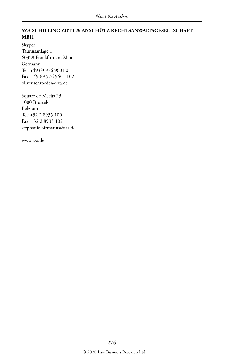#### **SZA SCHILLING ZUTT & ANSCHÜTZ RECHTSANWALTSGESELLSCHAFT MBH**

Skyper Taunusanlage 1 60329 Frankfurt am Main Germany Tel: +49 69 976 9601 0 Fax: +49 69 976 9601 102 oliver.schroeder@sza.de

Square de Meeûs 23 1000 Brussels Belgium Tel: +32 2 8935 100 Fax: +32 2 8935 102 stephanie.birmanns@sza.de

www.sza.de